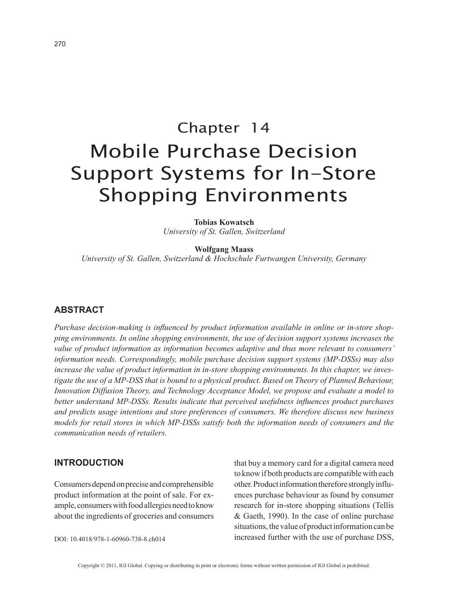# Chapter 14 Mobile Purchase Decision Support Systems for In-Store Shopping Environments

**Tobias Kowatsch** *University of St. Gallen, Switzerland*

**Wolfgang Maass** *University of St. Gallen, Switzerland & Hochschule Furtwangen University, Germany*

### **ABSTRACT**

*Purchase decision-making is influenced by product information available in online or in-store shopping environments. In online shopping environments, the use of decision support systems increases the value of product information as information becomes adaptive and thus more relevant to consumers' information needs. Correspondingly, mobile purchase decision support systems (MP-DSSs) may also increase the value of product information in in-store shopping environments. In this chapter, we investigate the use of a MP-DSS that is bound to a physical product. Based on Theory of Planned Behaviour, Innovation Diffusion Theory, and Technology Acceptance Model, we propose and evaluate a model to better understand MP-DSSs. Results indicate that perceived usefulness influences product purchases and predicts usage intentions and store preferences of consumers. We therefore discuss new business models for retail stores in which MP-DSSs satisfy both the information needs of consumers and the communication needs of retailers.*

#### **INTRODUCTION**

Consumers depend on precise and comprehensible product information at the point of sale. For example, consumers with food allergies need to know about the ingredients of groceries and consumers that buy a memory card for a digital camera need to know if both products are compatible with each other. Product information therefore strongly influences purchase behaviour as found by consumer research for in-store shopping situations (Tellis & Gaeth, 1990). In the case of online purchase situations, the value of product information can be increased further with the use of purchase DSS,

DOI: 10.4018/978-1-60960-738-8.ch014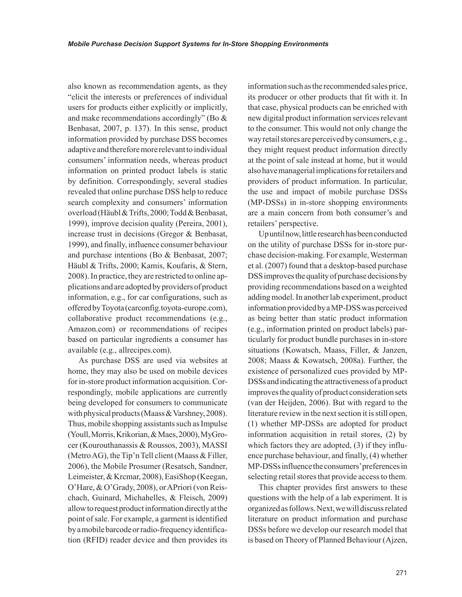also known as recommendation agents, as they "elicit the interests or preferences of individual users for products either explicitly or implicitly, and make recommendations accordingly" (Bo & Benbasat, 2007, p. 137). In this sense, product information provided by purchase DSS becomes adaptive and therefore more relevant to individual consumers' information needs, whereas product information on printed product labels is static by definition. Correspondingly, several studies revealed that online purchase DSS help to reduce search complexity and consumers' information overload (Häubl & Trifts, 2000; Todd & Benbasat, 1999), improve decision quality (Pereira, 2001), increase trust in decisions (Gregor & Benbasat, 1999), and finally, influence consumer behaviour and purchase intentions (Bo & Benbasat, 2007; Häubl & Trifts, 2000; Kamis, Koufaris, & Stern, 2008). In practice, they are restricted to online applications and are adopted by providers of product information, e.g., for car configurations, such as offered by Toyota (carconfig.toyota-europe.com), collaborative product recommendations (e.g., Amazon.com) or recommendations of recipes based on particular ingredients a consumer has available (e.g., allrecipes.com).

As purchase DSS are used via websites at home, they may also be used on mobile devices for in-store product information acquisition. Correspondingly, mobile applications are currently being developed for consumers to communicate with physical products (Maass & Varshney, 2008). Thus, mobile shopping assistants such as Impulse (Youll, Morris, Krikorian, & Maes, 2000), MyGrocer (Kourouthanassis & Roussos, 2003), MASSI (Metro AG), the Tip'n Tell client (Maass & Filler, 2006), the Mobile Prosumer (Resatsch, Sandner, Leimeister, & Krcmar, 2008), EasiShop (Keegan, O'Hare, & O'Grady, 2008), or APriori (von Reischach, Guinard, Michahelles, & Fleisch, 2009) allow to request product information directly at the point of sale. For example, a garment is identified by a mobile barcode or radio-frequency identification (RFID) reader device and then provides its information such as the recommended sales price, its producer or other products that fit with it. In that case, physical products can be enriched with new digital product information services relevant to the consumer. This would not only change the way retail stores are perceived by consumers, e.g., they might request product information directly at the point of sale instead at home, but it would also have managerial implications for retailers and providers of product information. In particular, the use and impact of mobile purchase DSSs (MP-DSSs) in in-store shopping environments are a main concern from both consumer's and retailers' perspective.

Up until now, little research has been conducted on the utility of purchase DSSs for in-store purchase decision-making. For example, Westerman et al. (2007) found that a desktop-based purchase DSS improves the quality of purchase decisions by providing recommendations based on a weighted adding model. In another lab experiment, product information provided by a MP-DSS was perceived as being better than static product information (e.g., information printed on product labels) particularly for product bundle purchases in in-store situations (Kowatsch, Maass, Filler, & Janzen, 2008; Maass & Kowatsch, 2008a). Further, the existence of personalized cues provided by MP-DSSs and indicating the attractiveness of a product improves the quality of product consideration sets (van der Heijden, 2006). But with regard to the literature review in the next section it is still open, (1) whether MP-DSSs are adopted for product information acquisition in retail stores, (2) by which factors they are adopted, (3) if they influence purchase behaviour, and finally, (4) whether MP-DSSs influence the consumers' preferences in selecting retail stores that provide access to them.

This chapter provides first answers to these questions with the help of a lab experiment. It is organized as follows. Next, we will discuss related literature on product information and purchase DSSs before we develop our research model that is based on Theory of Planned Behaviour (Ajzen,